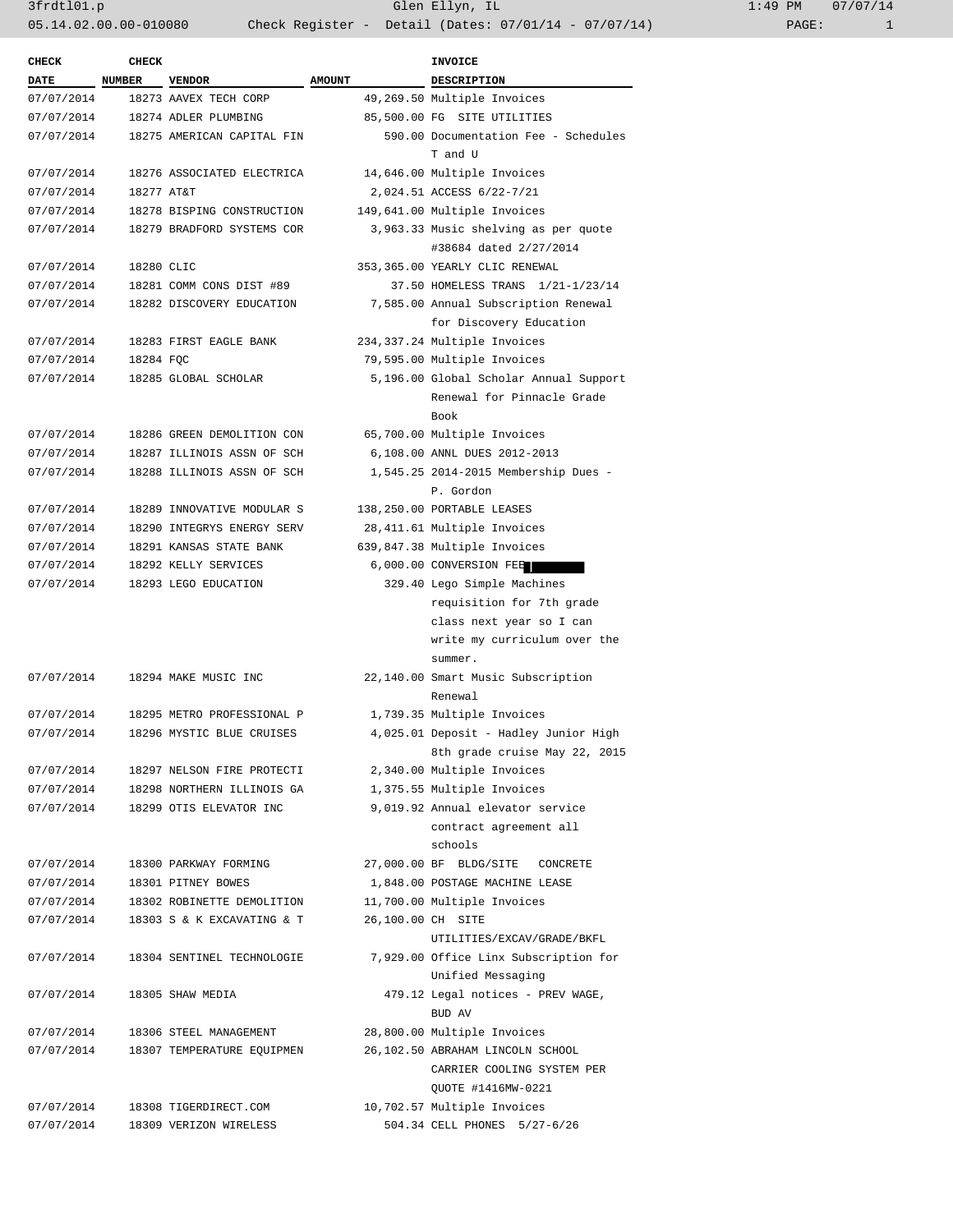3frdtl01.p Glen Ellyn, IL 1:49 PM 07/07/14 05.14.02.00.00-010080 Check Register - Detail (Dates: 07/01/14 - 07/07/14)

| <b>CHECK</b> | <b>CHECK</b>  |                            |                   | <b>INVOICE</b>                         |  |
|--------------|---------------|----------------------------|-------------------|----------------------------------------|--|
| <b>DATE</b>  | <b>NUMBER</b> | <b>VENDOR</b>              | <b>AMOUNT</b>     | <b>DESCRIPTION</b>                     |  |
| 07/07/2014   |               | 18273 AAVEX TECH CORP      |                   | 49,269.50 Multiple Invoices            |  |
| 07/07/2014   |               | 18274 ADLER PLUMBING       |                   | 85,500.00 FG SITE UTILITIES            |  |
| 07/07/2014   |               | 18275 AMERICAN CAPITAL FIN |                   | 590.00 Documentation Fee - Schedules   |  |
|              |               |                            |                   | T and U                                |  |
| 07/07/2014   |               | 18276 ASSOCIATED ELECTRICA |                   | 14,646.00 Multiple Invoices            |  |
| 07/07/2014   | 18277 AT&T    |                            |                   | 2,024.51 ACCESS 6/22-7/21              |  |
| 07/07/2014   |               | 18278 BISPING CONSTRUCTION |                   | 149,641.00 Multiple Invoices           |  |
| 07/07/2014   |               | 18279 BRADFORD SYSTEMS COR |                   | 3,963.33 Music shelving as per quote   |  |
|              |               |                            |                   | #38684 dated 2/27/2014                 |  |
| 07/07/2014   | 18280 CLIC    |                            |                   | 353,365.00 YEARLY CLIC RENEWAL         |  |
| 07/07/2014   |               | 18281 COMM CONS DIST #89   |                   | 37.50 HOMELESS TRANS 1/21-1/23/14      |  |
| 07/07/2014   |               | 18282 DISCOVERY EDUCATION  |                   | 7,585.00 Annual Subscription Renewal   |  |
|              |               |                            |                   | for Discovery Education                |  |
| 07/07/2014   |               | 18283 FIRST EAGLE BANK     |                   | 234, 337.24 Multiple Invoices          |  |
| 07/07/2014   | 18284 FQC     |                            |                   | 79,595.00 Multiple Invoices            |  |
| 07/07/2014   |               | 18285 GLOBAL SCHOLAR       |                   | 5,196.00 Global Scholar Annual Support |  |
|              |               |                            |                   | Renewal for Pinnacle Grade             |  |
|              |               |                            |                   | Book                                   |  |
| 07/07/2014   |               | 18286 GREEN DEMOLITION CON |                   | 65,700.00 Multiple Invoices            |  |
| 07/07/2014   |               | 18287 ILLINOIS ASSN OF SCH |                   | 6,108.00 ANNL DUES 2012-2013           |  |
| 07/07/2014   |               | 18288 ILLINOIS ASSN OF SCH |                   | 1,545.25 2014-2015 Membership Dues -   |  |
|              |               |                            |                   | P. Gordon                              |  |
| 07/07/2014   |               | 18289 INNOVATIVE MODULAR S |                   | 138,250.00 PORTABLE LEASES             |  |
| 07/07/2014   |               | 18290 INTEGRYS ENERGY SERV |                   | 28,411.61 Multiple Invoices            |  |
| 07/07/2014   |               | 18291 KANSAS STATE BANK    |                   | 639,847.38 Multiple Invoices           |  |
| 07/07/2014   |               | 18292 KELLY SERVICES       |                   | 6,000.00 CONVERSION FEE                |  |
| 07/07/2014   |               | 18293 LEGO EDUCATION       |                   | 329.40 Lego Simple Machines            |  |
|              |               |                            |                   | requisition for 7th grade              |  |
|              |               |                            |                   | class next year so I can               |  |
|              |               |                            |                   | write my curriculum over the           |  |
|              |               |                            |                   | summer.                                |  |
| 07/07/2014   |               | 18294 MAKE MUSIC INC       |                   | 22,140.00 Smart Music Subscription     |  |
|              |               |                            |                   | Renewal                                |  |
| 07/07/2014   |               | 18295 METRO PROFESSIONAL P |                   | 1,739.35 Multiple Invoices             |  |
| 07/07/2014   |               | 18296 MYSTIC BLUE CRUISES  |                   | 4,025.01 Deposit - Hadley Junior High  |  |
|              |               |                            |                   | 8th grade cruise May 22, 2015          |  |
| 07/07/2014   |               | 18297 NELSON FIRE PROTECTI |                   | 2,340.00 Multiple Invoices             |  |
| 07/07/2014   |               | 18298 NORTHERN ILLINOIS GA |                   | 1,375.55 Multiple Invoices             |  |
| 07/07/2014   |               | 18299 OTIS ELEVATOR INC    |                   | 9,019.92 Annual elevator service       |  |
|              |               |                            |                   | contract agreement all                 |  |
|              |               |                            |                   | schools                                |  |
| 07/07/2014   |               | 18300 PARKWAY FORMING      |                   | 27,000.00 BF BLDG/SITE<br>CONCRETE     |  |
| 07/07/2014   |               | 18301 PITNEY BOWES         |                   | 1,848.00 POSTAGE MACHINE LEASE         |  |
| 07/07/2014   |               | 18302 ROBINETTE DEMOLITION |                   | 11,700.00 Multiple Invoices            |  |
| 07/07/2014   |               | 18303 S & K EXCAVATING & T | 26,100.00 CH SITE |                                        |  |
|              |               |                            |                   | UTILITIES/EXCAV/GRADE/BKFL             |  |
| 07/07/2014   |               | 18304 SENTINEL TECHNOLOGIE |                   | 7,929.00 Office Linx Subscription for  |  |
|              |               |                            |                   | Unified Messaging                      |  |
| 07/07/2014   |               | 18305 SHAW MEDIA           |                   | 479.12 Legal notices - PREV WAGE,      |  |
|              |               |                            |                   | BUD AV                                 |  |
| 07/07/2014   |               | 18306 STEEL MANAGEMENT     |                   | 28,800.00 Multiple Invoices            |  |
| 07/07/2014   |               | 18307 TEMPERATURE EQUIPMEN |                   | 26,102.50 ABRAHAM LINCOLN SCHOOL       |  |
|              |               |                            |                   | CARRIER COOLING SYSTEM PER             |  |
|              |               |                            |                   | QUOTE #1416MW-0221                     |  |
| 07/07/2014   |               | 18308 TIGERDIRECT.COM      |                   | 10,702.57 Multiple Invoices            |  |
| 07/07/2014   |               | 18309 VERIZON WIRELESS     |                   | 504.34 CELL PHONES 5/27-6/26           |  |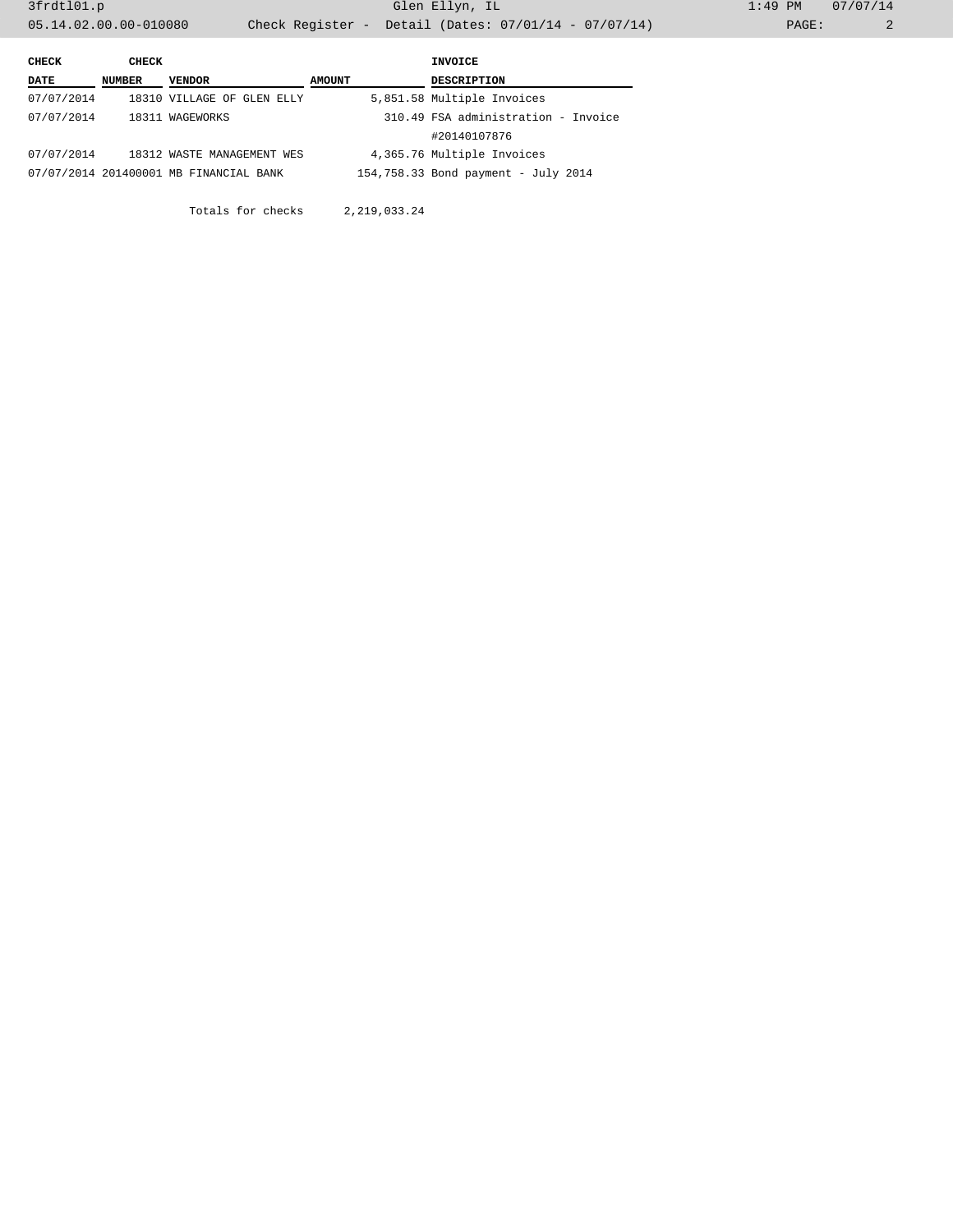| CHECK      | CHECK  |                                                        |               | INVOICE                             |  |
|------------|--------|--------------------------------------------------------|---------------|-------------------------------------|--|
| DATE       | NUMBER | VENDOR                                                 | <b>AMOUNT</b> | <b>DESCRIPTION</b>                  |  |
| 07/07/2014 |        | 18310 VILLAGE OF GLEN ELLY                             |               | 5,851.58 Multiple Invoices          |  |
| 07/07/2014 |        | 310.49 FSA administration - Invoice<br>18311 WAGEWORKS |               |                                     |  |
|            |        |                                                        |               | #20140107876                        |  |
| 07/07/2014 |        | 18312 WASTE MANAGEMENT WES                             |               | 4,365.76 Multiple Invoices          |  |
|            |        | 07/07/2014 201400001 MB FINANCIAL BANK                 |               | 154,758.33 Bond payment - July 2014 |  |

Totals for checks 2,219,033.24